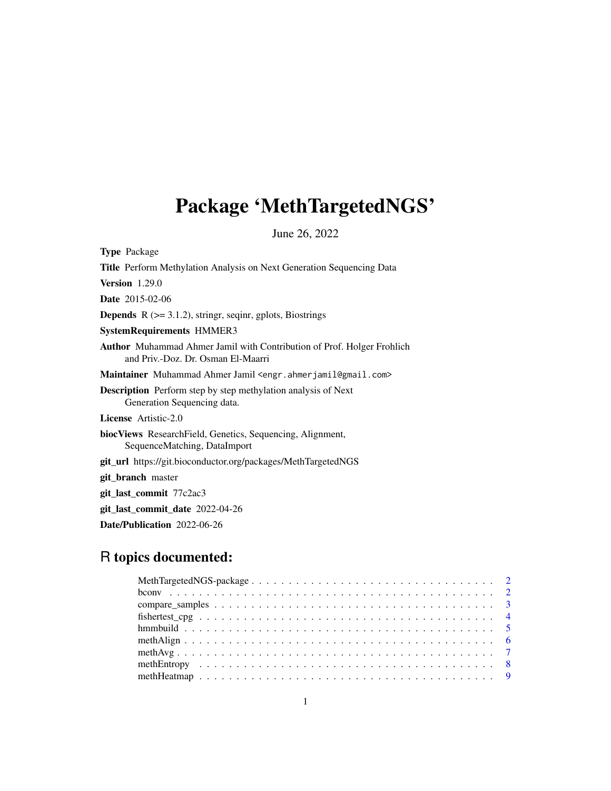## Package 'MethTargetedNGS'

June 26, 2022

Type Package Title Perform Methylation Analysis on Next Generation Sequencing Data Version 1.29.0 Date 2015-02-06 **Depends** R  $(>= 3.1.2)$ , stringr, seqinr, gplots, Biostrings SystemRequirements HMMER3 Author Muhammad Ahmer Jamil with Contribution of Prof. Holger Frohlich and Priv.-Doz. Dr. Osman El-Maarri Maintainer Muhammad Ahmer Jamil <engr.ahmerjamil@gmail.com> Description Perform step by step methylation analysis of Next Generation Sequencing data. License Artistic-2.0 biocViews ResearchField, Genetics, Sequencing, Alignment, SequenceMatching, DataImport git\_url https://git.bioconductor.org/packages/MethTargetedNGS git\_branch master git\_last\_commit 77c2ac3 git\_last\_commit\_date 2022-04-26 Date/Publication 2022-06-26

## R topics documented: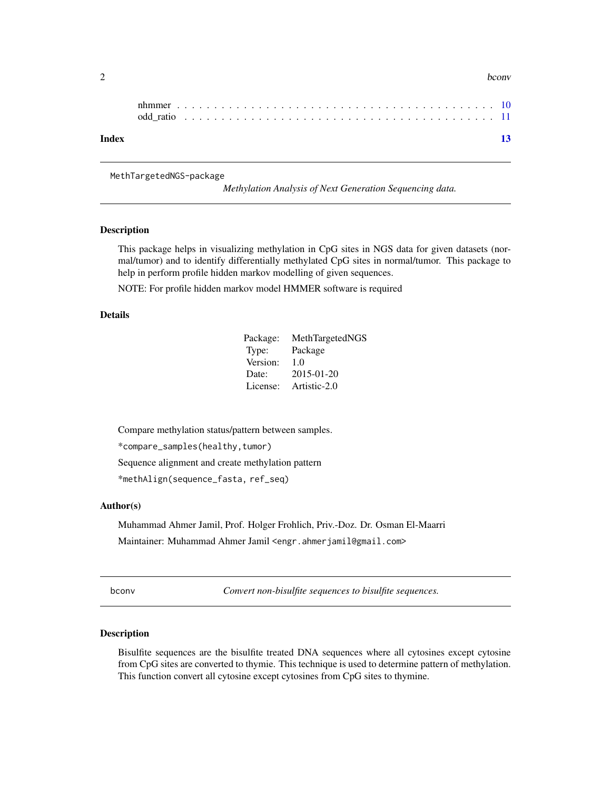<span id="page-1-0"></span>

| ~<br>. . | bconv |
|----------|-------|
|          |       |

| Index |  |  |  |  |  |  |  |  |  |  |  |  |  |  |  |  |  |  | 13 |
|-------|--|--|--|--|--|--|--|--|--|--|--|--|--|--|--|--|--|--|----|

MethTargetedNGS-package

*Methylation Analysis of Next Generation Sequencing data.*

## Description

This package helps in visualizing methylation in CpG sites in NGS data for given datasets (normal/tumor) and to identify differentially methylated CpG sites in normal/tumor. This package to help in perform profile hidden markov modelling of given sequences.

NOTE: For profile hidden markov model HMMER software is required

## Details

| Package: | MethTargetedNGS |
|----------|-----------------|
| Type:    | Package         |
| Version: | 1.0             |
| Date:    | 2015-01-20      |
| License: | Artistic-2.0    |

Compare methylation status/pattern between samples.

\*compare\_samples(healthy,tumor)

Sequence alignment and create methylation pattern

\*methAlign(sequence\_fasta, ref\_seq)

### Author(s)

Muhammad Ahmer Jamil, Prof. Holger Frohlich, Priv.-Doz. Dr. Osman El-Maarri Maintainer: Muhammad Ahmer Jamil <engr.ahmerjamil@gmail.com>

bconv *Convert non-bisulfite sequences to bisulfite sequences.*

## **Description**

Bisulfite sequences are the bisulfite treated DNA sequences where all cytosines except cytosine from CpG sites are converted to thymie. This technique is used to determine pattern of methylation. This function convert all cytosine except cytosines from CpG sites to thymine.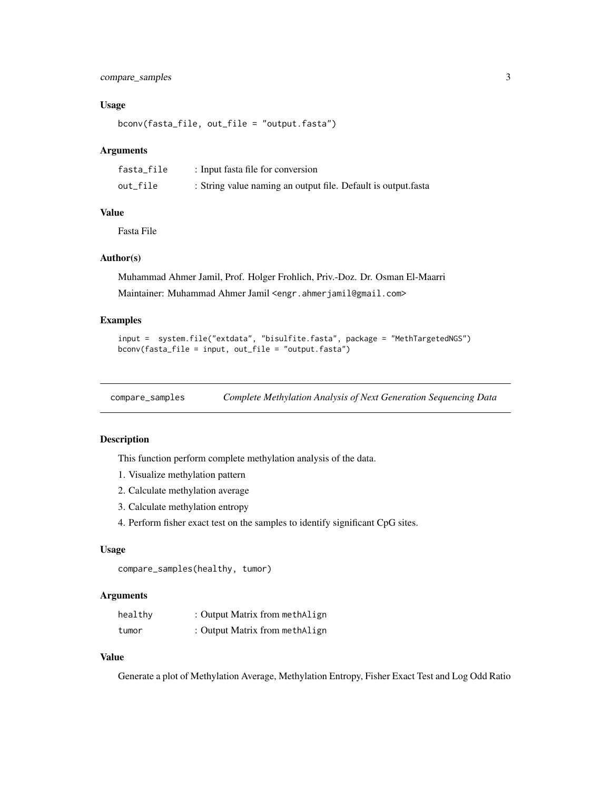## <span id="page-2-0"></span>compare\_samples 3

#### Usage

bconv(fasta\_file, out\_file = "output.fasta")

#### Arguments

| fasta_file | : Input fasta file for conversion                             |
|------------|---------------------------------------------------------------|
| out_file   | : String value naming an output file. Default is output fasta |

## Value

Fasta File

### Author(s)

Muhammad Ahmer Jamil, Prof. Holger Frohlich, Priv.-Doz. Dr. Osman El-Maarri Maintainer: Muhammad Ahmer Jamil <engr.ahmerjamil@gmail.com>

## Examples

```
input = system.file("extdata", "bisulfite.fasta", package = "MethTargetedNGS")
bconv(fasta_file = input, out_file = "output.fasta")
```
<span id="page-2-1"></span>compare\_samples *Complete Methylation Analysis of Next Generation Sequencing Data*

## Description

This function perform complete methylation analysis of the data.

- 1. Visualize methylation pattern
- 2. Calculate methylation average
- 3. Calculate methylation entropy
- 4. Perform fisher exact test on the samples to identify significant CpG sites.

#### Usage

```
compare_samples(healthy, tumor)
```
#### Arguments

| healthy | : Output Matrix from methAlign |
|---------|--------------------------------|
| tumor   | : Output Matrix from methAlign |

## Value

Generate a plot of Methylation Average, Methylation Entropy, Fisher Exact Test and Log Odd Ratio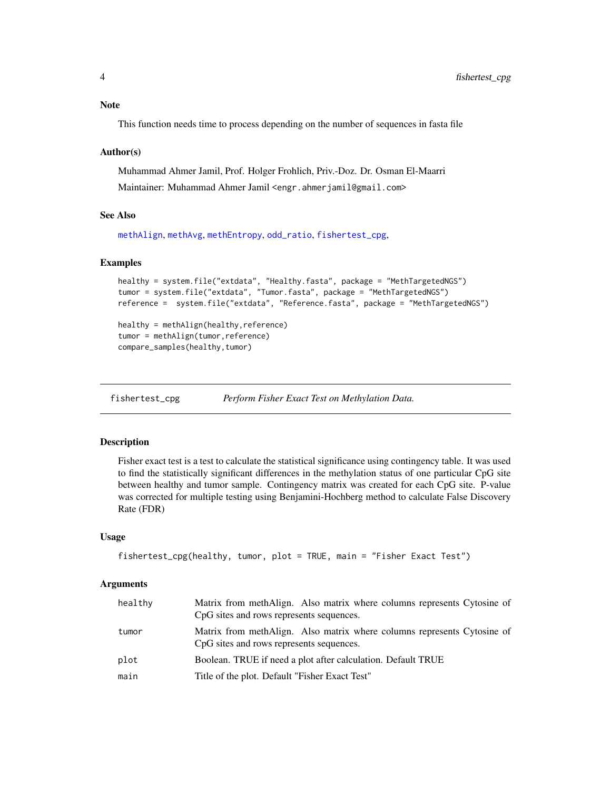#### <span id="page-3-0"></span>Note

This function needs time to process depending on the number of sequences in fasta file

#### Author(s)

Muhammad Ahmer Jamil, Prof. Holger Frohlich, Priv.-Doz. Dr. Osman El-Maarri Maintainer: Muhammad Ahmer Jamil <engr.ahmerjamil@gmail.com>

## See Also

[methAlign](#page-5-1), [methAvg](#page-6-1), [methEntropy](#page-7-1), [odd\\_ratio](#page-10-1), [fishertest\\_cpg](#page-3-1),

## Examples

```
healthy = system.file("extdata", "Healthy.fasta", package = "MethTargetedNGS")
tumor = system.file("extdata", "Tumor.fasta", package = "MethTargetedNGS")
reference = system.file("extdata", "Reference.fasta", package = "MethTargetedNGS")
healthy = methAlign(healthy,reference)
tumor = methAlign(tumor,reference)
compare_samples(healthy,tumor)
```
fishertest\_cpg *Perform Fisher Exact Test on Methylation Data.*

#### Description

Fisher exact test is a test to calculate the statistical significance using contingency table. It was used to find the statistically significant differences in the methylation status of one particular CpG site between healthy and tumor sample. Contingency matrix was created for each CpG site. P-value was corrected for multiple testing using Benjamini-Hochberg method to calculate False Discovery Rate (FDR)

#### Usage

```
fishertest_cpg(healthy, tumor, plot = TRUE, main = "Fisher Exact Test")
```
#### Arguments

| healthy | Matrix from methAlign. Also matrix where columns represents Cytosine of<br>CpG sites and rows represents sequences. |
|---------|---------------------------------------------------------------------------------------------------------------------|
| tumor   | Matrix from methAlign. Also matrix where columns represents Cytosine of<br>CpG sites and rows represents sequences. |
| plot    | Boolean. TRUE if need a plot after calculation. Default TRUE                                                        |
| main    | Title of the plot. Default "Fisher Exact Test"                                                                      |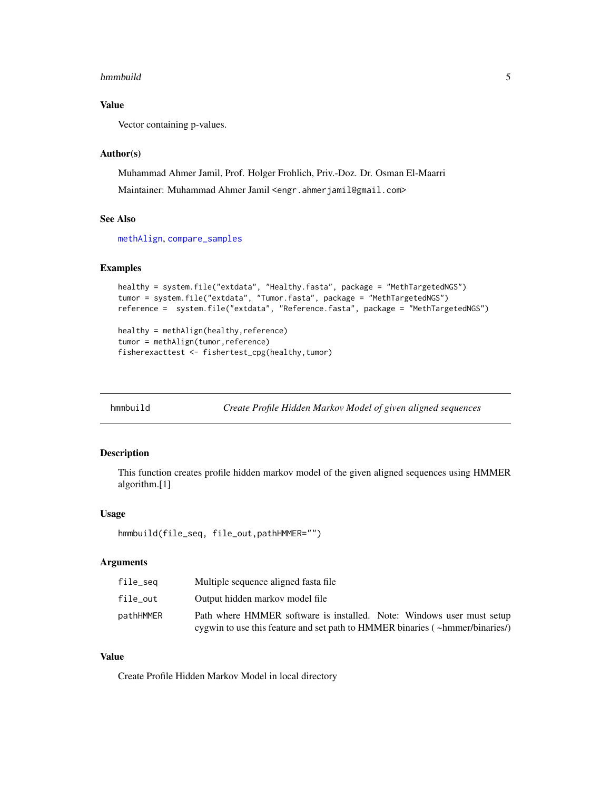#### <span id="page-4-0"></span>hmmbuild 55 September 1988 September 1988 September 1988 September 1988 September 1988 September 1988 Septembe

## Value

Vector containing p-values.

## Author(s)

Muhammad Ahmer Jamil, Prof. Holger Frohlich, Priv.-Doz. Dr. Osman El-Maarri Maintainer: Muhammad Ahmer Jamil <engr.ahmerjamil@gmail.com>

## See Also

[methAlign](#page-5-1), [compare\\_samples](#page-2-1)

#### Examples

```
healthy = system.file("extdata", "Healthy.fasta", package = "MethTargetedNGS")
tumor = system.file("extdata", "Tumor.fasta", package = "MethTargetedNGS")
reference = system.file("extdata", "Reference.fasta", package = "MethTargetedNGS")
healthy = methAlign(healthy,reference)
```

```
tumor = methAlign(tumor,reference)
fisherexacttest <- fishertest_cpg(healthy,tumor)
```
<span id="page-4-1"></span>

| hmmbuild |  |  |
|----------|--|--|
|          |  |  |

Create Profile Hidden Markov Model of given aligned sequences

#### Description

This function creates profile hidden markov model of the given aligned sequences using HMMER algorithm.[1]

#### Usage

```
hmmbuild(file_seq, file_out,pathHMMER="")
```
## Arguments

| file_seq  | Multiple sequence aligned fasta file.                                        |
|-----------|------------------------------------------------------------------------------|
| file_out  | Output hidden markov model file                                              |
| pathHMMER | Path where HMMER software is installed. Note: Windows user must setup        |
|           | cygwin to use this feature and set path to HMMER binaries (~hmmer/binaries/) |

#### Value

Create Profile Hidden Markov Model in local directory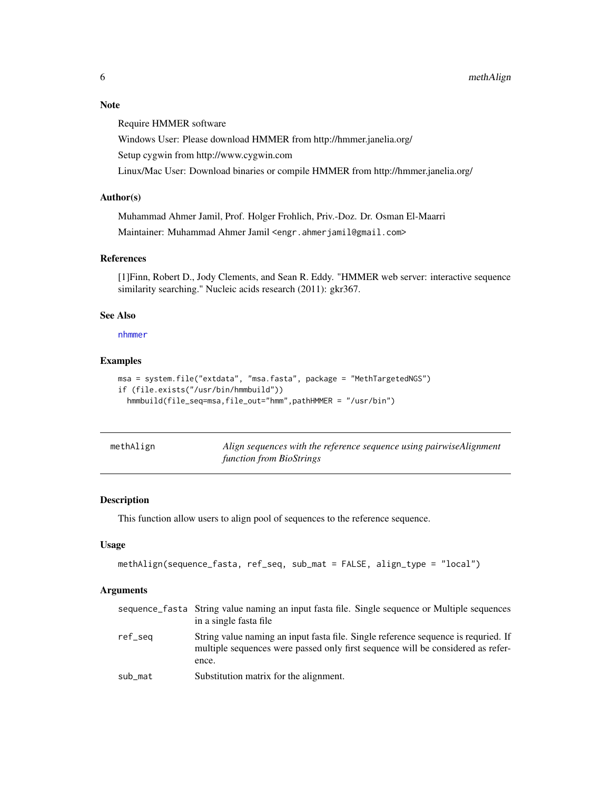## <span id="page-5-0"></span>Note

Require HMMER software

Windows User: Please download HMMER from http://hmmer.janelia.org/

Setup cygwin from http://www.cygwin.com

Linux/Mac User: Download binaries or compile HMMER from http://hmmer.janelia.org/

#### Author(s)

Muhammad Ahmer Jamil, Prof. Holger Frohlich, Priv.-Doz. Dr. Osman El-Maarri Maintainer: Muhammad Ahmer Jamil <engr.ahmerjamil@gmail.com>

## References

[1]Finn, Robert D., Jody Clements, and Sean R. Eddy. "HMMER web server: interactive sequence similarity searching." Nucleic acids research (2011): gkr367.

#### See Also

[nhmmer](#page-9-1)

#### Examples

```
msa = system.file("extdata", "msa.fasta", package = "MethTargetedNGS")
if (file.exists("/usr/bin/hmmbuild"))
 hmmbuild(file_seq=msa,file_out="hmm",pathHMMER = "/usr/bin")
```
<span id="page-5-1"></span>

| methAlign | Align sequences with the reference sequence using pairwiseAlignment |
|-----------|---------------------------------------------------------------------|
|           | function from BioStrings                                            |

## Description

This function allow users to align pool of sequences to the reference sequence.

#### Usage

```
methAlign(sequence_fasta, ref_seq, sub_mat = FALSE, align_type = "local")
```
#### Arguments

|         | sequence_fasta String value naming an input fasta file. Single sequence or Multiple sequences<br>in a single fasta file.                                                       |
|---------|--------------------------------------------------------------------------------------------------------------------------------------------------------------------------------|
| ref_seq | String value naming an input fasta file. Single reference sequence is requried. If<br>multiple sequences were passed only first sequence will be considered as refer-<br>ence. |
| sub_mat | Substitution matrix for the alignment.                                                                                                                                         |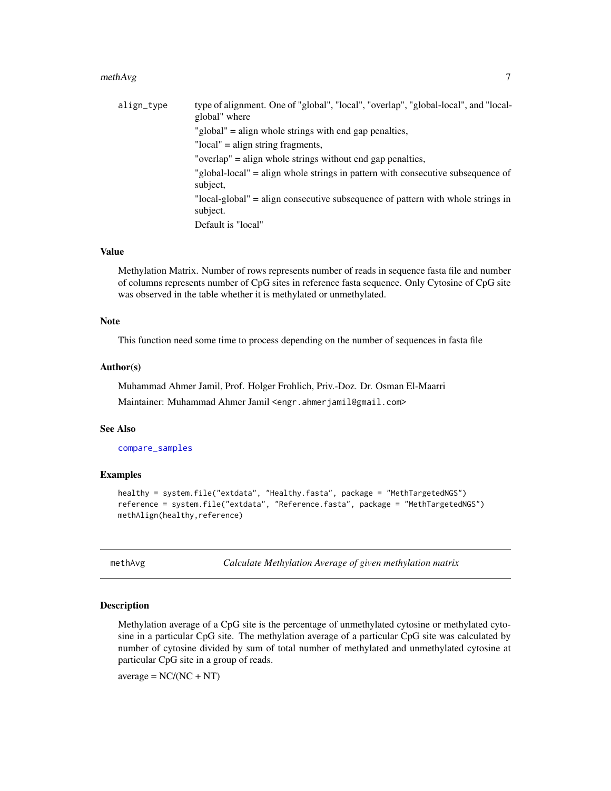#### <span id="page-6-0"></span> $m$ eth $Avg$   $\hskip 1.6cm$  7

| align_type | type of alignment. One of "global", "local", "overlap", "global-local", and "local-<br>global" where |
|------------|------------------------------------------------------------------------------------------------------|
|            | "global" = align whole strings with end gap penalties,                                               |
|            | "local" = align string fragments,                                                                    |
|            | "overlap" = align whole strings without end gap penalties,                                           |
|            | "global-local" = align whole strings in pattern with consecutive subsequence of<br>subject.          |
|            | "local-global" = align consecutive subsequence of pattern with whole strings in<br>subject.          |
|            | Default is "local"                                                                                   |

## Value

Methylation Matrix. Number of rows represents number of reads in sequence fasta file and number of columns represents number of CpG sites in reference fasta sequence. Only Cytosine of CpG site was observed in the table whether it is methylated or unmethylated.

#### Note

This function need some time to process depending on the number of sequences in fasta file

## Author(s)

Muhammad Ahmer Jamil, Prof. Holger Frohlich, Priv.-Doz. Dr. Osman El-Maarri Maintainer: Muhammad Ahmer Jamil <engr.ahmerjamil@gmail.com>

#### See Also

[compare\\_samples](#page-2-1)

#### Examples

```
healthy = system.file("extdata", "Healthy.fasta", package = "MethTargetedNGS")
reference = system.file("extdata", "Reference.fasta", package = "MethTargetedNGS")
methAlign(healthy, reference)
```
<span id="page-6-1"></span>methAvg *Calculate Methylation Average of given methylation matrix*

#### Description

Methylation average of a CpG site is the percentage of unmethylated cytosine or methylated cytosine in a particular CpG site. The methylation average of a particular CpG site was calculated by number of cytosine divided by sum of total number of methylated and unmethylated cytosine at particular CpG site in a group of reads.

 $average = NC/(NC + NT)$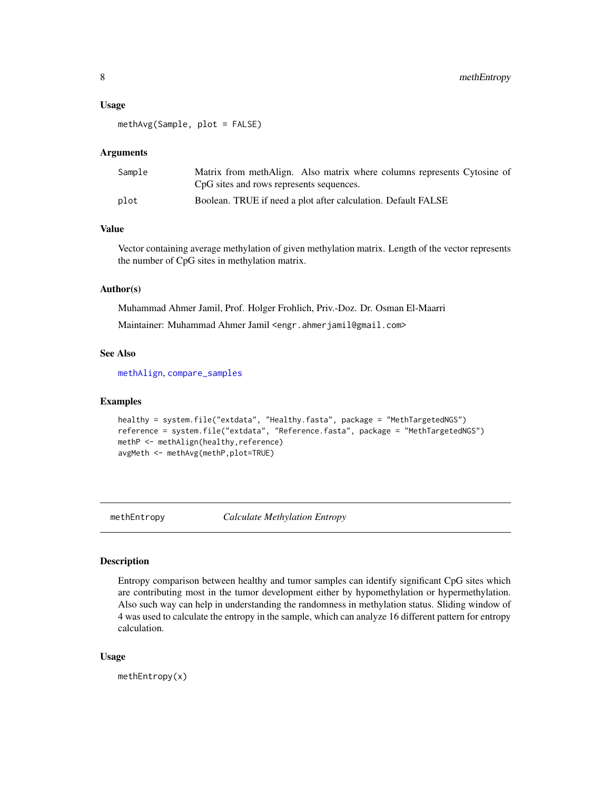#### <span id="page-7-0"></span>Usage

methAvg(Sample, plot = FALSE)

#### Arguments

| Sample | Matrix from methAlign. Also matrix where columns represents Cytosine of<br>CpG sites and rows represents sequences. |
|--------|---------------------------------------------------------------------------------------------------------------------|
| plot   | Boolean. TRUE if need a plot after calculation. Default FALSE                                                       |

## Value

Vector containing average methylation of given methylation matrix. Length of the vector represents the number of CpG sites in methylation matrix.

### Author(s)

Muhammad Ahmer Jamil, Prof. Holger Frohlich, Priv.-Doz. Dr. Osman El-Maarri Maintainer: Muhammad Ahmer Jamil <engr.ahmerjamil@gmail.com>

#### See Also

[methAlign](#page-5-1), [compare\\_samples](#page-2-1)

## Examples

```
healthy = system.file("extdata", "Healthy.fasta", package = "MethTargetedNGS")
reference = system.file("extdata", "Reference.fasta", package = "MethTargetedNGS")
methP <- methAlign(healthy,reference)
avgMeth <- methAvg(methP,plot=TRUE)
```
<span id="page-7-1"></span>methEntropy *Calculate Methylation Entropy*

#### Description

Entropy comparison between healthy and tumor samples can identify significant CpG sites which are contributing most in the tumor development either by hypomethylation or hypermethylation. Also such way can help in understanding the randomness in methylation status. Sliding window of 4 was used to calculate the entropy in the sample, which can analyze 16 different pattern for entropy calculation.

#### Usage

methEntropy(x)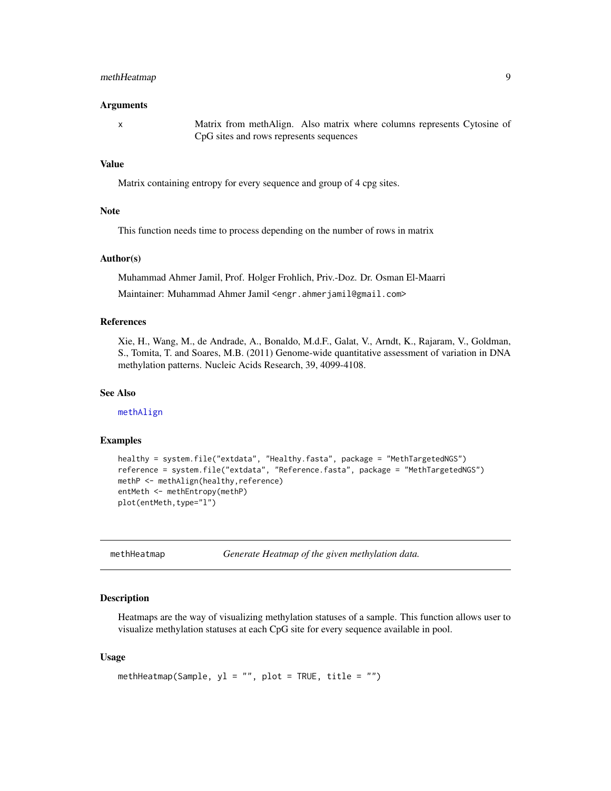### <span id="page-8-0"></span>methHeatmap 9

#### Arguments

x Matrix from methAlign. Also matrix where columns represents Cytosine of CpG sites and rows represents sequences

## Value

Matrix containing entropy for every sequence and group of 4 cpg sites.

#### **Note**

This function needs time to process depending on the number of rows in matrix

### Author(s)

Muhammad Ahmer Jamil, Prof. Holger Frohlich, Priv.-Doz. Dr. Osman El-Maarri Maintainer: Muhammad Ahmer Jamil <engr.ahmerjamil@gmail.com>

#### References

Xie, H., Wang, M., de Andrade, A., Bonaldo, M.d.F., Galat, V., Arndt, K., Rajaram, V., Goldman, S., Tomita, T. and Soares, M.B. (2011) Genome-wide quantitative assessment of variation in DNA methylation patterns. Nucleic Acids Research, 39, 4099-4108.

#### See Also

[methAlign](#page-5-1)

#### Examples

```
healthy = system.file("extdata", "Healthy.fasta", package = "MethTargetedNGS")
reference = system.file("extdata", "Reference.fasta", package = "MethTargetedNGS")
methP <- methAlign(healthy, reference)
entMeth <- methEntropy(methP)
plot(entMeth,type="l")
```
methHeatmap *Generate Heatmap of the given methylation data.*

#### Description

Heatmaps are the way of visualizing methylation statuses of a sample. This function allows user to visualize methylation statuses at each CpG site for every sequence available in pool.

#### Usage

```
methHeatmap(Sample, y1 = "", plot = TRUE, title = "")
```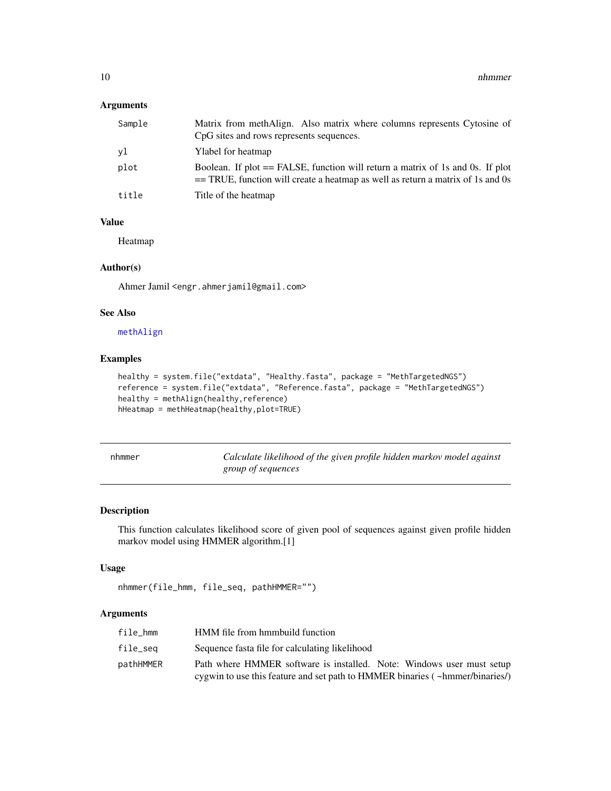## <span id="page-9-0"></span>Arguments

| Sample | Matrix from methAlign. Also matrix where columns represents Cytosine of<br>CpG sites and rows represents sequences.                                                  |
|--------|----------------------------------------------------------------------------------------------------------------------------------------------------------------------|
| vl     | Ylabel for heatmap                                                                                                                                                   |
| plot   | Boolean. If plot $==$ FALSE, function will return a matrix of 1s and 0s. If plot<br>$=$ TRUE, function will create a heatmap as well as return a matrix of 1s and 0s |
| title  | Title of the heatmap                                                                                                                                                 |

## Value

Heatmap

#### Author(s)

Ahmer Jamil <engr.ahmerjamil@gmail.com>

## See Also

[methAlign](#page-5-1)

## Examples

```
healthy = system.file("extdata", "Healthy.fasta", package = "MethTargetedNGS")
reference = system.file("extdata", "Reference.fasta", package = "MethTargetedNGS")
healthy = methAlign(healthy,reference)
hHeatmap = methHeatmap(healthy,plot=TRUE)
```
<span id="page-9-1"></span>

| nhmmer |  |
|--------|--|
|--------|--|

Calculate likelihood of the given profile hidden markov model against *group of sequences*

## Description

This function calculates likelihood score of given pool of sequences against given profile hidden markov model using HMMER algorithm.[1]

#### Usage

```
nhmmer(file_hmm, file_seq, pathHMMER="")
```
## Arguments

| file hmm  | HMM file from hmmbuild function                                              |
|-----------|------------------------------------------------------------------------------|
| file_seg  | Sequence fasta file for calculating likelihood                               |
| pathHMMER | Path where HMMER software is installed. Note: Windows user must setup        |
|           | cygwin to use this feature and set path to HMMER binaries (~hmmer/binaries/) |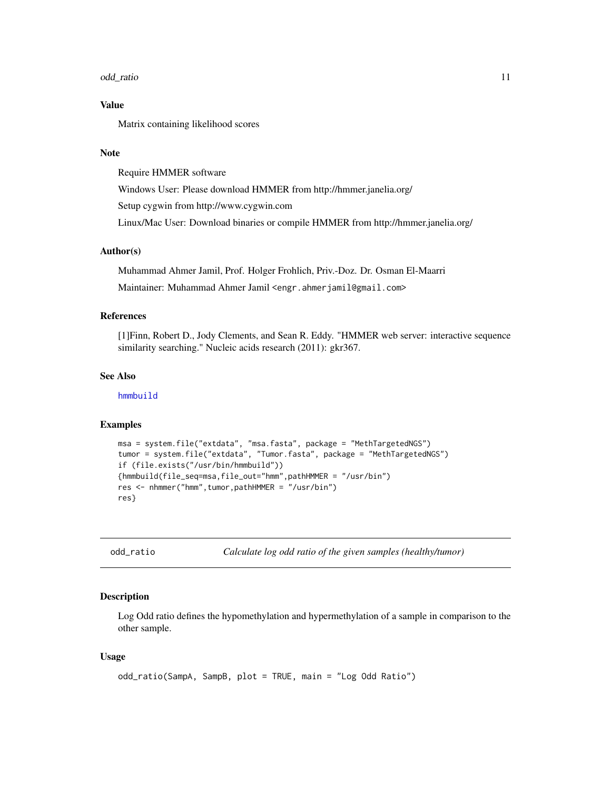#### <span id="page-10-0"></span>odd\_ratio 11

## Value

Matrix containing likelihood scores

## Note

Require HMMER software Windows User: Please download HMMER from http://hmmer.janelia.org/ Setup cygwin from http://www.cygwin.com Linux/Mac User: Download binaries or compile HMMER from http://hmmer.janelia.org/

## Author(s)

Muhammad Ahmer Jamil, Prof. Holger Frohlich, Priv.-Doz. Dr. Osman El-Maarri Maintainer: Muhammad Ahmer Jamil <engr.ahmerjamil@gmail.com>

#### References

[1]Finn, Robert D., Jody Clements, and Sean R. Eddy. "HMMER web server: interactive sequence similarity searching." Nucleic acids research (2011): gkr367.

#### See Also

[hmmbuild](#page-4-1)

#### Examples

```
msa = system.file("extdata", "msa.fasta", package = "MethTargetedNGS")
tumor = system.file("extdata", "Tumor.fasta", package = "MethTargetedNGS")
if (file.exists("/usr/bin/hmmbuild"))
{hmmbuild(file_seq=msa,file_out="hmm",pathHMMER = "/usr/bin")
res <- nhmmer("hmm",tumor,pathHMMER = "/usr/bin")
res}
```
<span id="page-10-1"></span>odd\_ratio *Calculate log odd ratio of the given samples (healthy/tumor)*

#### Description

Log Odd ratio defines the hypomethylation and hypermethylation of a sample in comparison to the other sample.

#### Usage

```
odd_ratio(SampA, SampB, plot = TRUE, main = "Log Odd Ratio")
```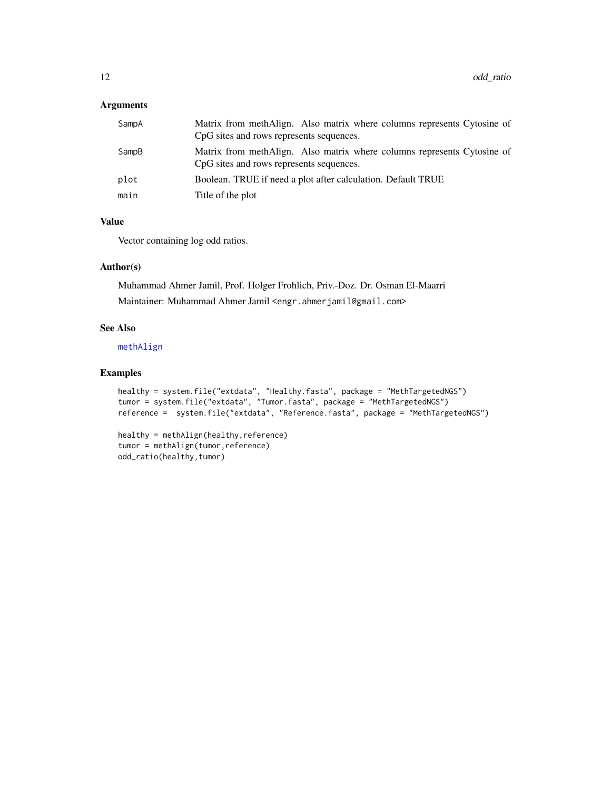## <span id="page-11-0"></span>Arguments

| SampA | Matrix from methAlign. Also matrix where columns represents Cytosine of<br>CpG sites and rows represents sequences. |
|-------|---------------------------------------------------------------------------------------------------------------------|
| SampB | Matrix from methAlign. Also matrix where columns represents Cytosine of<br>CpG sites and rows represents sequences. |
| plot  | Boolean. TRUE if need a plot after calculation. Default TRUE                                                        |
| main  | Title of the plot                                                                                                   |

## Value

Vector containing log odd ratios.

## Author(s)

Muhammad Ahmer Jamil, Prof. Holger Frohlich, Priv.-Doz. Dr. Osman El-Maarri Maintainer: Muhammad Ahmer Jamil <engr.ahmerjamil@gmail.com>

## See Also

[methAlign](#page-5-1)

## Examples

```
healthy = system.file("extdata", "Healthy.fasta", package = "MethTargetedNGS")
tumor = system.file("extdata", "Tumor.fasta", package = "MethTargetedNGS")
reference = system.file("extdata", "Reference.fasta", package = "MethTargetedNGS")
```

```
healthy = methAlign(healthy,reference)
tumor = methAlign(tumor,reference)
odd_ratio(healthy,tumor)
```